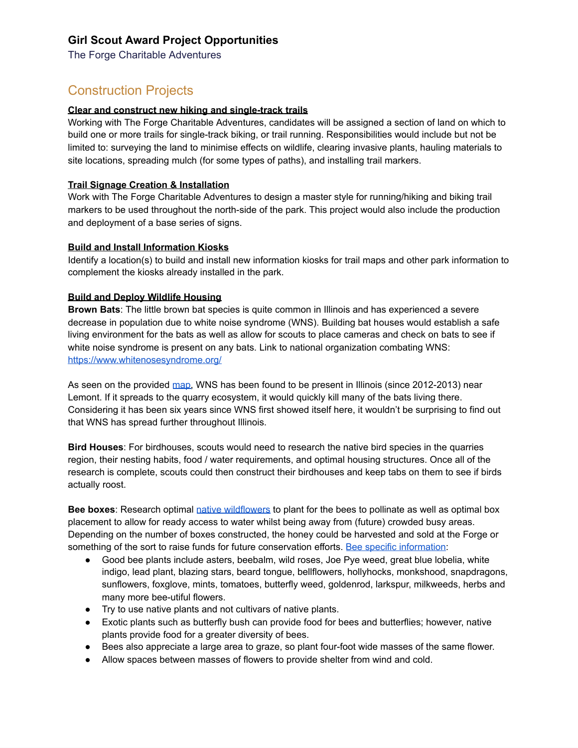# **Girl Scout Award Project Opportunities**

The Forge Charitable Adventures

# Construction Projects

### **Clear and construct new hiking and single-track trails**

Working with The Forge Charitable Adventures, candidates will be assigned a section of land on which to build one or more trails for single-track biking, or trail running. Responsibilities would include but not be limited to: surveying the land to minimise effects on wildlife, clearing invasive plants, hauling materials to site locations, spreading mulch (for some types of paths), and installing trail markers.

### **Trail Signage Creation & Installation**

Work with The Forge Charitable Adventures to design a master style for running/hiking and biking trail markers to be used throughout the north-side of the park. This project would also include the production and deployment of a base series of signs.

#### **Build and Install Information Kiosks**

Identify a location(s) to build and install new information kiosks for trail maps and other park information to complement the kiosks already installed in the park.

#### **Build and Deploy Wildlife Housing**

**Brown Bats**: The little brown bat species is quite common in Illinois and has experienced a severe decrease in population due to white noise syndrome (WNS). Building bat houses would establish a safe living environment for the bats as well as allow for scouts to place cameras and check on bats to see if white noise syndrome is present on any bats. Link to national organization combating WNS: <https://www.whitenosesyndrome.org/>

As seen on the provided [map](https://www.whitenosesyndrome.org/static-spread-map/may-8-2019), WNS has been found to be present in Illinois (since 2012-2013) near Lemont. If it spreads to the quarry ecosystem, it would quickly kill many of the bats living there. Considering it has been six years since WNS first showed itself here, it wouldn't be surprising to find out that WNS has spread further throughout Illinois.

**Bird Houses**: For birdhouses, scouts would need to research the native bird species in the quarries region, their nesting habits, food / water requirements, and optimal housing structures. Once all of the research is complete, scouts could then construct their birdhouses and keep tabs on them to see if birds actually roost.

**Bee boxes**: Research optimal native [wildflowers](https://extension.illinois.edu/wildflowers/directory.cfm) to plant for the bees to pollinate as well as optimal box placement to allow for ready access to water whilst being away from (future) crowded busy areas. Depending on the number of boxes constructed, the honey could be harvested and sold at the Forge or something of the sort to raise funds for future conservation efforts. Bee specific [information](https://web.extension.illinois.edu/cfiv/homeowners/140522.html):

- Good bee plants include asters, beebalm, wild roses, Joe Pye weed, great blue lobelia, white indigo, lead plant, blazing stars, beard tongue, bellflowers, hollyhocks, monkshood, snapdragons, sunflowers, foxglove, mints, tomatoes, butterfly weed, goldenrod, larkspur, milkweeds, herbs and many more bee-utiful flowers.
- Try to use native plants and not cultivars of native plants.
- Exotic plants such as butterfly bush can provide food for bees and butterflies; however, native plants provide food for a greater diversity of bees.
- Bees also appreciate a large area to graze, so plant four-foot wide masses of the same flower.
- Allow spaces between masses of flowers to provide shelter from wind and cold.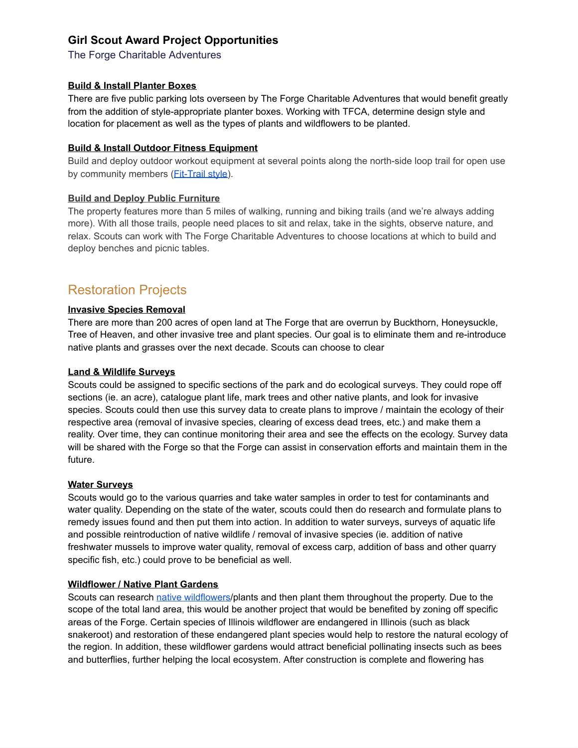# **Girl Scout Award Project Opportunities**

The Forge Charitable Adventures

### **Build & Install Planter Boxes**

There are five public parking lots overseen by The Forge Charitable Adventures that would benefit greatly from the addition of style-appropriate planter boxes. Working with TFCA, determine design style and location for placement as well as the types of plants and wildflowers to be planted.

### **Build & Install Outdoor Fitness Equipment**

Build and deploy outdoor workout equipment at several points along the north-side loop trail for open use by community members (*Fit-Trail style*).

## **Build and Deploy Public Furniture**

The property features more than 5 miles of walking, running and biking trails (and we're always adding more). With all those trails, people need places to sit and relax, take in the sights, observe nature, and relax. Scouts can work with The Forge Charitable Adventures to choose locations at which to build and deploy benches and picnic tables.

# Restoration Projects

## **Invasive Species Removal**

There are more than 200 acres of open land at The Forge that are overrun by Buckthorn, Honeysuckle, Tree of Heaven, and other invasive tree and plant species. Our goal is to eliminate them and re-introduce native plants and grasses over the next decade. Scouts can choose to clear

### **Land & Wildlife Surveys**

Scouts could be assigned to specific sections of the park and do ecological surveys. They could rope off sections (ie. an acre), catalogue plant life, mark trees and other native plants, and look for invasive species. Scouts could then use this survey data to create plans to improve / maintain the ecology of their respective area (removal of invasive species, clearing of excess dead trees, etc.) and make them a reality. Over time, they can continue monitoring their area and see the effects on the ecology. Survey data will be shared with the Forge so that the Forge can assist in conservation efforts and maintain them in the future.

### **Water Surveys**

Scouts would go to the various quarries and take water samples in order to test for contaminants and water quality. Depending on the state of the water, scouts could then do research and formulate plans to remedy issues found and then put them into action. In addition to water surveys, surveys of aquatic life and possible reintroduction of native wildlife / removal of invasive species (ie. addition of native freshwater mussels to improve water quality, removal of excess carp, addition of bass and other quarry specific fish, etc.) could prove to be beneficial as well.

### **Wildflower / Native Plant Gardens**

Scouts can research native [wildflowers](https://extension.illinois.edu/wildflowers/directory.cfm)/plants and then plant them throughout the property. Due to the scope of the total land area, this would be another project that would be benefited by zoning off specific areas of the Forge. Certain species of Illinois wildflower are endangered in Illinois (such as black snakeroot) and restoration of these endangered plant species would help to restore the natural ecology of the region. In addition, these wildflower gardens would attract beneficial pollinating insects such as bees and butterflies, further helping the local ecosystem. After construction is complete and flowering has